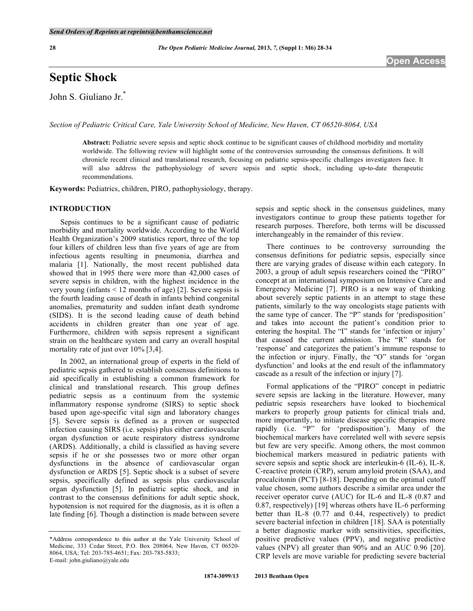**28** *The Open Pediatric Medicine Journal,* **2013,** *7,* **(Suppl 1: M6) 28-34** 

# **Septic Shock**

John S. Giuliano Jr.\*

*Section of Pediatric Critical Care, Yale University School of Medicine, New Haven, CT 06520-8064, USA* 

**Abstract:** Pediatric severe sepsis and septic shock continue to be significant causes of childhood morbidity and mortality worldwide. The following review will highlight some of the controversies surrounding the consensus definitions. It will chronicle recent clinical and translational research, focusing on pediatric sepsis-specific challenges investigators face. It will also address the pathophysiology of severe sepsis and septic shock, including up-to-date therapeutic recommendations.

**Keywords:** Pediatrics, children, PIRO, pathophysiology, therapy.

## **INTRODUCTION**

 Sepsis continues to be a significant cause of pediatric morbidity and mortality worldwide. According to the World Health Organization's 2009 statistics report, three of the top four killers of children less than five years of age are from infectious agents resulting in pneumonia, diarrhea and malaria [1]. Nationally, the most recent published data showed that in 1995 there were more than 42,000 cases of severe sepsis in children, with the highest incidence in the very young (infants < 12 months of age) [2]. Severe sepsis is the fourth leading cause of death in infants behind congenital anomalies, prematurity and sudden infant death syndrome (SIDS). It is the second leading cause of death behind accidents in children greater than one year of age. Furthermore, children with sepsis represent a significant strain on the healthcare system and carry an overall hospital mortality rate of just over 10% [3,4].

In 2002, an international group of experts in the field of pediatric sepsis gathered to establish consensus definitions to aid specifically in establishing a common framework for clinical and translational research. This group defines pediatric sepsis as a continuum from the systemic inflammatory response syndrome (SIRS) to septic shock based upon age-specific vital sign and laboratory changes [5]. Severe sepsis is defined as a proven or suspected infection causing SIRS (i.e. sepsis) plus either cardiovascular organ dysfunction or acute respiratory distress syndrome (ARDS). Additionally, a child is classified as having severe sepsis if he or she possesses two or more other organ dysfunctions in the absence of cardiovascular organ dysfunction or ARDS [5]. Septic shock is a subset of severe sepsis, specifically defined as sepsis plus cardiovascular organ dysfunction [5]. In pediatric septic shock, and in contrast to the consensus definitions for adult septic shock, hypotension is not required for the diagnosis, as it is often a late finding [6]. Though a distinction is made between severe

sepsis and septic shock in the consensus guidelines, many investigators continue to group these patients together for research purposes. Therefore, both terms will be discussed interchangeably in the remainder of this review.

There continues to be controversy surrounding the consensus definitions for pediatric sepsis, especially since there are varying grades of disease within each category. In 2003, a group of adult sepsis researchers coined the "PIRO" concept at an international symposium on Intensive Care and Emergency Medicine [7]. PIRO is a new way of thinking about severely septic patients in an attempt to stage these patients, similarly to the way oncologists stage patients with the same type of cancer. The "P" stands for 'predisposition' and takes into account the patient's condition prior to entering the hospital. The "I" stands for 'infection or injury' that caused the current admission. The "R" stands for 'response' and categorizes the patient's immune response to the infection or injury. Finally, the "O" stands for 'organ dysfunction' and looks at the end result of the inflammatory cascade as a result of the infection or injury [7].

 Formal applications of the "PIRO" concept in pediatric severe sepsis are lacking in the literature. However, many pediatric sepsis researchers have looked to biochemical markers to properly group patients for clinical trials and, more importantly, to initiate disease specific therapies more rapidly (i.e. "P" for 'predisposition'). Many of the biochemical markers have correlated well with severe sepsis but few are very specific. Among others, the most common biochemical markers measured in pediatric patients with severe sepsis and septic shock are interleukin-6 (IL-6), IL-8, C-reactive protein (CRP), serum amyloid protein (SAA), and procalcitonin (PCT) [8-18]. Depending on the optimal cutoff value chosen, some authors describe a similar area under the receiver operator curve (AUC) for IL-6 and IL-8 (0.87 and 0.87, respectively) [19] whereas others have IL-6 performing better than IL-8 (0.77 and 0.44, respectively) to predict severe bacterial infection in children [18]. SAA is potentially a better diagnostic marker with sensitivities, specificities, positive predictive values (PPV), and negative predictive values (NPV) all greater than 90% and an AUC 0.96 [20]. CRP levels are move variable for predicting severe bacterial

<sup>\*</sup>Address correspondence to this author at the Yale University School of Medicine, 333 Cedar Street, P.O. Box 208064, New Haven, CT 06520- 8064, USA; Tel: 203-785-4651; Fax: 203-785-5833; E-mail: john.giuliano@yale.edu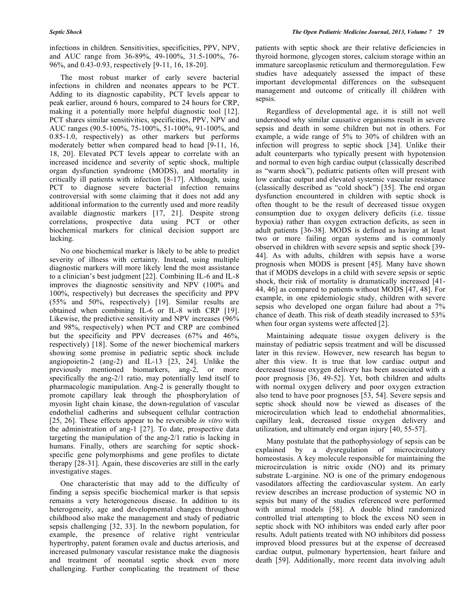infections in children. Sensitivities, specificities, PPV, NPV, and AUC range from 36-89%, 49-100%, 31.5-100%, 76- 96%, and 0.43-0.93, respectively [9-11, 16, 18-20].

 The most robust marker of early severe bacterial infections in children and neonates appears to be PCT. Adding to its diagnostic capability, PCT levels appear to peak earlier, around 6 hours, compared to 24 hours for CRP, making it a potentially more helpful diagnostic tool [12]. PCT shares similar sensitivities, specificities, PPV, NPV and AUC ranges (90.5-100%, 75-100%, 51-100%, 91-100%, and 0.85-1.0, respectively) as other markers but performs moderately better when compared head to head [9-11, 16, 18, 20]. Elevated PCT levels appear to correlate with an increased incidence and severity of septic shock, multiple organ dysfunction syndrome (MODS), and mortality in critically ill patients with infection [8-17]. Although, using PCT to diagnose severe bacterial infection remains controversial with some claiming that it does not add any additional information to the currently used and more readily available diagnostic markers [17, 21]. Despite strong correlations, prospective data using PCT or other biochemical markers for clinical decision support are lacking.

 No one biochemical marker is likely to be able to predict severity of illness with certainty. Instead, using multiple diagnostic markers will more likely lend the most assistance to a clinician's best judgment [22]. Combining IL-6 and IL-8 improves the diagnostic sensitivity and NPV (100% and 100%, respectively) but decreases the specificity and PPV (55% and 50%, respectively) [19]. Similar results are obtained when combining IL-6 or IL-8 with CRP [19]. Likewise, the predictive sensitivity and NPV increases (96% and 98%, respectively) when PCT and CRP are combined but the specificity and PPV decreases (67% and 46%, respectively) [18]. Some of the newer biochemical markers showing some promise in pediatric septic shock include angiopoietin-2 (ang-2) and IL-13 [23, 24]. Unlike the previously mentioned biomarkers, ang-2, or more specifically the ang-2/1 ratio, may potentially lend itself to pharmacologic manipulation. Ang-2 is generally thought to promote capillary leak through the phosphorylation of myosin light chain kinase, the down-regulation of vascular endothelial cadherins and subsequent cellular contraction [25, 26]. These effects appear to be reversible *in vitro* with the administration of ang-1 [27]. To date, prospective data targeting the manipulation of the ang-2/1 ratio is lacking in humans. Finally, others are searching for septic shockspecific gene polymorphisms and gene profiles to dictate therapy [28-31]. Again, these discoveries are still in the early investigative stages.

One characteristic that may add to the difficulty of finding a sepsis specific biochemical marker is that sepsis remains a very heterogeneous disease. In addition to its heterogeneity, age and developmental changes throughout childhood also make the management and study of pediatric sepsis challenging [32, 33]. In the newborn population, for example, the presence of relative right ventricular hypertrophy, patent foramen ovale and ductus arteriosis, and increased pulmonary vascular resistance make the diagnosis and treatment of neonatal septic shock even more challenging. Further complicating the treatment of these

patients with septic shock are their relative deficiencies in thyroid hormone, glycogen stores, calcium storage within an immature sarcoplasmic reticulum and thermoregulation. Few studies have adequately assessed the impact of these important developmental differences on the subsequent management and outcome of critically ill children with sepsis.

Regardless of developmental age, it is still not well understood why similar causative organisms result in severe sepsis and death in some children but not in others. For example, a wide range of 5% to 30% of children with an infection will progress to septic shock [34]. Unlike their adult counterparts who typically present with hypotension and normal to even high cardiac output (classically described as "warm shock"), pediatric patients often will present with low cardiac output and elevated systemic vascular resistance (classically described as "cold shock") [35]. The end organ dysfunction encountered in children with septic shock is often thought to be the result of decreased tissue oxygen consumption due to oxygen delivery deficits (i.e. tissue hypoxia) rather than oxygen extraction deficits, as seen in adult patients [36-38]. MODS is defined as having at least two or more failing organ systems and is commonly observed in children with severe sepsis and septic shock [39- 44]. As with adults, children with sepsis have a worse prognosis when MODS is present [45]. Many have shown that if MODS develops in a child with severe sepsis or septic shock, their risk of mortality is dramatically increased [41- 44, 46] as compared to patients without MODS [47, 48]. For example, in one epidemiologic study, children with severe sepsis who developed one organ failure had about a 7% chance of death. This risk of death steadily increased to 53% when four organ systems were affected [2].

 Maintaining adequate tissue oxygen delivery is the mainstay of pediatric sepsis treatment and will be discussed later in this review. However, new research has begun to alter this view. It is true that low cardiac output and decreased tissue oxygen delivery has been associated with a poor prognosis [36, 49-52]. Yet, both children and adults with normal oxygen delivery and poor oxygen extraction also tend to have poor prognoses [53, 54]. Severe sepsis and septic shock should now be viewed as diseases of the microcirculation which lead to endothelial abnormalities, capillary leak, decreased tissue oxygen delivery and utilization, and ultimately end organ injury [40, 55-57].

 Many postulate that the pathophysiology of sepsis can be explained by a dysregulation of microcirculatory homeostasis. A key molecule responsible for maintaining the microcirculation is nitric oxide (NO) and its primary substrate L-arginine. NO is one of the primary endogenous vasodilators affecting the cardiovascular system. An early review describes an increase production of systemic NO in sepsis but many of the studies referenced were performed with animal models [58]. A double blind randomized controlled trial attempting to block the excess NO seen in septic shock with NO inhibitors was ended early after poor results. Adult patients treated with NO inhibitors did possess improved blood pressures but at the expense of decreased cardiac output, pulmonary hypertension, heart failure and death [59]. Additionally, more recent data involving adult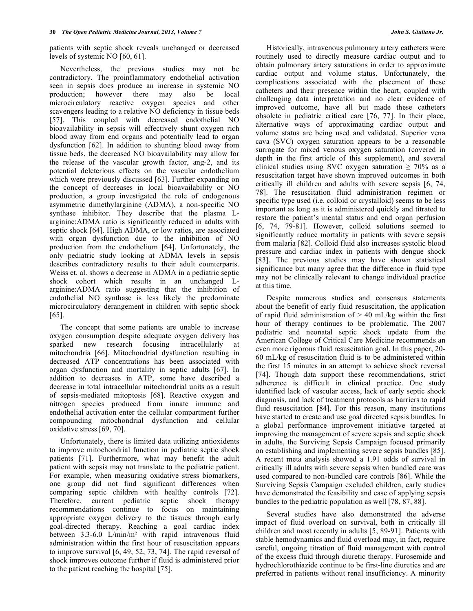patients with septic shock reveals unchanged or decreased levels of systemic NO [60, 61].

 Nevertheless, the previous studies may not be contradictory. The proinflammatory endothelial activation seen in sepsis does produce an increase in systemic NO production; however there may also be local microcirculatory reactive oxygen species and other scavengers leading to a relative NO deficiency in tissue beds [57]. This coupled with decreased endothelial NO bioavailability in sepsis will effectively shunt oxygen rich blood away from end organs and potentially lead to organ dysfunction [62]. In addition to shunting blood away from tissue beds, the decreased NO bioavailability may allow for the release of the vascular growth factor, ang-2, and its potential deleterious effects on the vascular endothelium which were previously discussed [63]. Further expanding on the concept of decreases in local bioavailability or NO production, a group investigated the role of endogenous asymmetric dimethylarginine (ADMA), a non-specific NO synthase inhibitor. They describe that the plasma Larginine:ADMA ratio is significantly reduced in adults with septic shock [64]. High ADMA, or low ratios, are associated with organ dysfunction due to the inhibition of NO production from the endothelium [64]. Unfortunately, the only pediatric study looking at ADMA levels in sepsis describes contradictory results to their adult counterparts. Weiss et. al. shows a decrease in ADMA in a pediatric septic shock cohort which results in an unchanged Larginine:ADMA ratio suggesting that the inhibition of endothelial NO synthase is less likely the predominate microcirculatory derangement in children with septic shock [65].

 The concept that some patients are unable to increase oxygen consumption despite adequate oxygen delivery has sparked new research focusing intracellularly at mitochondria [66]. Mitochondrial dysfunction resulting in decreased ATP concentrations has been associated with organ dysfunction and mortality in septic adults [67]. In addition to decreases in ATP, some have described a decrease in total intracellular mitochondrial units as a result of sepsis-mediated mitoptosis [68]. Reactive oxygen and nitrogen species produced from innate immune and endothelial activation enter the cellular compartment further compounding mitochondrial dysfunction and cellular oxidative stress [69, 70].

 Unfortunately, there is limited data utilizing antioxidents to improve mitochondrial function in pediatric septic shock patients [71]. Furthermore, what may benefit the adult patient with sepsis may not translate to the pediatric patient. For example, when measuring oxidative stress biomarkers, one group did not find significant differences when comparing septic children with healthy controls [72]. Therefore, current pediatric septic shock therapy recommendations continue to focus on maintaining appropriate oxygen delivery to the tissues through early goal-directed therapy. Reaching a goal cardiac index between  $3.3-6.0$  L/min/m<sup>2</sup> with rapid intravenous fluid administration within the first hour of resuscitation appears to improve survival [6, 49, 52, 73, 74]. The rapid reversal of shock improves outcome further if fluid is administered prior to the patient reaching the hospital [75].

 Historically, intravenous pulmonary artery catheters were routinely used to directly measure cardiac output and to obtain pulmonary artery saturations in order to approximate cardiac output and volume status. Unfortunately, the complications associated with the placement of these catheters and their presence within the heart, coupled with challenging data interpretation and no clear evidence of improved outcome, have all but made these catheters obsolete in pediatric critical care [76, 77]. In their place, alternative ways of approximating cardiac output and volume status are being used and validated. Superior vena cava (SVC) oxygen saturation appears to be a reasonable surrogate for mixed venous oxygen saturation (covered in depth in the first article of this supplement), and several clinical studies using SVC oxygen saturation  $\geq 70\%$  as a resuscitation target have shown improved outcomes in both critically ill children and adults with severe sepsis [6, 74, 78]. The resuscitation fluid administration regimen or specific type used (i.e. colloid or crystalloid) seems to be less important as long as it is administered quickly and titrated to restore the patient's mental status and end organ perfusion [6, 74, 79-81]. However, colloid solutions seemed to significantly reduce mortality in patients with severe sepsis from malaria [82]. Colloid fluid also increases systolic blood pressure and cardiac index in patients with dengue shock [83]. The previous studies may have shown statistical significance but many agree that the difference in fluid type may not be clinically relevant to change individual practice at this time.

 Despite numerous studies and consensus statements about the benefit of early fluid resuscitation, the application of rapid fluid administration of  $> 40$  mL/kg within the first hour of therapy continues to be problematic. The 2007 pediatric and neonatal septic shock update from the American College of Critical Care Medicine recommends an even more rigorous fluid resuscitation goal. In this paper, 20- 60 mL/kg of resuscitation fluid is to be administered within the first 15 minutes in an attempt to achieve shock reversal [74]. Though data support these recommendations, strict adherence is difficult in clinical practice. One study identified lack of vascular access, lack of early septic shock diagnosis, and lack of treatment protocols as barriers to rapid fluid resuscitation [84]. For this reason, many institutions have started to create and use goal directed sepsis bundles. In a global performance improvement initiative targeted at improving the management of severe sepsis and septic shock in adults, the Surviving Sepsis Campaign focused primarily on establishing and implementing severe sepsis bundles [85]. A recent meta analysis showed a 1.91 odds of survival in critically ill adults with severe sepsis when bundled care was used compared to non-bundled care controls [86]. While the Surviving Sepsis Campaign excluded children, early studies have demonstrated the feasibility and ease of applying sepsis bundles to the pediatric population as well [78, 87, 88].

 Several studies have also demonstrated the adverse impact of fluid overload on survival, both in critically ill children and most recently in adults [5, 89-91]. Patients with stable hemodynamics and fluid overload may, in fact, require careful, ongoing titration of fluid management with control of the excess fluid through diuretic therapy. Furosemide and hydrochlorothiazide continue to be first-line diuretics and are preferred in patients without renal insufficiency. A minority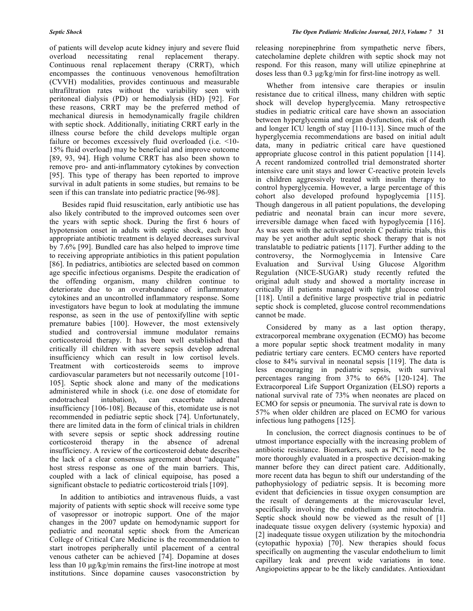of patients will develop acute kidney injury and severe fluid overload necessitating renal replacement therapy. Continuous renal replacement therapy (CRRT), which encompasses the continuous venovenous hemofiltration (CVVH) modalities, provides continuous and measurable ultrafiltration rates without the variability seen with peritoneal dialysis (PD) or hemodialysis (HD) [92]. For these reasons, CRRT may be the preferred method of mechanical diuresis in hemodynamically fragile children with septic shock. Additionally, initiating CRRT early in the illness course before the child develops multiple organ failure or becomes excessively fluid overloaded (i.e. <10-15% fluid overload) may be beneficial and improve outcome [89, 93, 94]. High volume CRRT has also been shown to remove pro- and anti-inflammatory cytokines by convection [95]. This type of therapy has been reported to improve survival in adult patients in some studies, but remains to be seen if this can translate into pediatric practice [96-98].

 Besides rapid fluid resuscitation, early antibiotic use has also likely contributed to the improved outcomes seen over the years with septic shock. During the first 6 hours of hypotension onset in adults with septic shock, each hour appropriate antibiotic treatment is delayed decreases survival by 7.6% [99]. Bundled care has also helped to improve time to receiving appropriate antibiotics in this patient population [86]. In pediatrics, antibiotics are selected based on common age specific infectious organisms. Despite the eradication of the offending organism, many children continue to deteriorate due to an overabundance of inflammatory cytokines and an uncontrolled inflammatory response. Some investigators have begun to look at modulating the immune response, as seen in the use of pentoxifylline with septic premature babies [100]. However, the most extensively studied and controversial immune modulator remains corticosteroid therapy. It has been well established that critically ill children with severe sepsis develop adrenal insufficiency which can result in low cortisol levels. Treatment with corticosteroids seems to improve cardiovascular parameters but not necessarily outcome [101- 105]. Septic shock alone and many of the medications administered while in shock (i.e. one dose of etomidate for endotracheal intubation), can exacerbate adrenal insufficiency [106-108]. Because of this, etomidate use is not recommended in pediatric septic shock [74]. Unfortunately, there are limited data in the form of clinical trials in children with severe sepsis or septic shock addressing routine corticosteroid therapy in the absence of adrenal insufficiency. A review of the corticosteroid debate describes the lack of a clear consensus agreement about "adequate" host stress response as one of the main barriers. This, coupled with a lack of clinical equipoise, has posed a significant obstacle to pediatric corticosteroid trials [109].

 In addition to antibiotics and intravenous fluids, a vast majority of patients with septic shock will receive some type of vasopressor or inotropic support. One of the major changes in the 2007 update on hemodynamic support for pediatric and neonatal septic shock from the American College of Critical Care Medicine is the recommendation to start inotropes peripherally until placement of a central venous catheter can be achieved [74]. Dopamine at doses less than 10 μg/kg/min remains the first-line inotrope at most institutions. Since dopamine causes vasoconstriction by

releasing norepinephrine from sympathetic nerve fibers, catecholamine deplete children with septic shock may not respond. For this reason, many will utilize epinephrine at doses less than 0.3 μg/kg/min for first-line inotropy as well.

 Whether from intensive care therapies or insulin resistance due to critical illness, many children with septic shock will develop hyperglycemia. Many retrospective studies in pediatric critical care have shown an association between hyperglycemia and organ dysfunction, risk of death and longer ICU length of stay [110-113]. Since much of the hyperglycemia recommendations are based on initial adult data, many in pediatric critical care have questioned appropriate glucose control in this patient population [114]. A recent randomized controlled trial demonstrated shorter intensive care unit stays and lower C-reactive protein levels in children aggressively treated with insulin therapy to control hyperglycemia. However, a large percentage of this cohort also developed profound hypoglycemia [115]. Though dangerous in all patient populations, the developing pediatric and neonatal brain can incur more severe, irreversible damage when faced with hypoglycemia [116]. As was seen with the activated protein C pediatric trials, this may be yet another adult septic shock therapy that is not translatable to pediatric patients [117]. Further adding to the controversy, the Normoglycemia in Intensive Care Evaluation and Survival Using Glucose Algorithm Regulation (NICE-SUGAR) study recently refuted the original adult study and showed a mortality increase in critically ill patients managed with tight glucose control [118]. Until a definitive large prospective trial in pediatric septic shock is completed, glucose control recommendations cannot be made.

 Considered by many as a last option therapy, extracorporeal membrane oxygenation (ECMO) has become a more popular septic shock treatment modality in many pediatric tertiary care centers. ECMO centers have reported close to 84% survival in neonatal sepsis [119]. The data is less encouraging in pediatric sepsis, with survival percentages ranging from 37% to 66% [120-124]. The Extracorporeal Life Support Organization (ELSO) reports a national survival rate of 73% when neonates are placed on ECMO for sepsis or pneumonia. The survival rate is down to 57% when older children are placed on ECMO for various infectious lung pathogens [125].

 In conclusion, the correct diagnosis continues to be of utmost importance especially with the increasing problem of antibiotic resistance. Biomarkers, such as PCT, need to be more thoroughly evaluated in a prospective decision-making manner before they can direct patient care. Additionally, more recent data has begun to shift our understanding of the pathophysiology of pediatric sepsis. It is becoming more evident that deficiencies in tissue oxygen consumption are the result of derangements at the microvascular level, specifically involving the endothelium and mitochondria. Septic shock should now be viewed as the result of [1] inadequate tissue oxygen delivery (systemic hypoxia) and [2] inadequate tissue oxygen utilization by the mitochondria (cytopathic hypoxia) [70]. New therapies should focus specifically on augmenting the vascular endothelium to limit capillary leak and prevent wide variations in tone. Angiopoietins appear to be the likely candidates. Antioxidant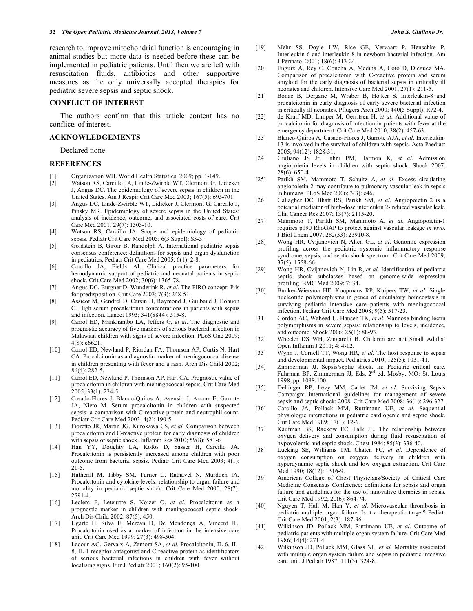research to improve mitochondrial function is encouraging in animal studies but more data is needed before these can be implemented in pediatric patients. Until then we are left with resuscitation fluids, antibiotics and other supportive measures as the only universally accepted therapies for pediatric severe sepsis and septic shock.

## **CONFLICT OF INTEREST**

 The authors confirm that this article content has no conflicts of interest.

#### **ACKNOWLEDGEMENTS**

Declared none.

### **REFERENCES**

- [1] Organization WH. World Health Statistics. 2009; pp. 1-149.
- [2] Watson RS, Carcillo JA, Linde-Zwirble WT, Clermont G, Lidicker J, Angus DC. The epidemiology of severe sepsis in children in the United States. Am J Respir Crit Care Med 2003; 167(5): 695-701.
- [3] Angus DC, Linde-Zwirble WT, Lidicker J, Clermont G, Carcillo J, Pinsky MR. Epidemiology of severe sepsis in the United States: analysis of incidence, outcome, and associated costs of care. Crit Care Med 2001; 29(7): 1303-10.
- [4] Watson RS, Carcillo JA. Scope and epidemiology of pediatric sepsis. Pediatr Crit Care Med 2005; 6(3 Suppl): S3-5.
- [5] Goldstein B, Giroir B, Randolph A. International pediatric sepsis consensus conference: definitions for sepsis and organ dysfunction in pediatrics. Pediatr Crit Care Med 2005; 6(1): 2-8.
- [6] Carcillo JA, Fields AI. Clinical practice parameters for hemodynamic support of pediatric and neonatal patients in septic shock. Crit Care Med 2002; 30(6): 1365-78.
- [7] Angus DC, Burgner D, Wunderink R, *et al*. The PIRO concept: P is for predisposition. Crit Care 2003; 7(3): 248-51.
- [8] Assicot M, Gendrel D, Carsin H, Raymond J, Guilbaud J, Bohuon C. High serum procalcitonin concentrations in patients with sepsis and infection. Lancet 1993; 341(8844): 515-8.
- [9] Carrol ED, Mankhambo LA, Jeffers G, *et al*. The diagnostic and prognostic accuracy of five markers of serious bacterial infection in Malawian children with signs of severe infection. PLoS One 2009;  $4(8)$ : e6621.
- [10] Carrol ED, Newland P, Riordan FA, Thomson AP, Curtis N, Hart CA*.* Procalcitonin as a diagnostic marker of meningococcal disease in children presenting with fever and a rash. Arch Dis Child 2002; 86(4): 282-5.
- [11] Carrol ED, Newland P, Thomson AP, Hart CA*.* Prognostic value of procalcitonin in children with meningococcal sepsis. Crit Care Med 2005; 33(1): 224-5.
- [12] Casado-Flores J, Blanco-Quiros A, Asensio J, Arranz E, Garrote JA, Nieto M. Serum procalcitonin in children with suspected sepsis: a comparison with C-reactive protein and neutrophil count. Pediatr Crit Care Med 2003; 4(2): 190-5.
- [13] Fioretto JR, Martin JG, Kurokawa CS, *et al*. Comparison between procalcitonin and C-reactive protein for early diagnosis of children with sepsis or septic shock. Inflamm Res 2010; 59(8): 581-6
- [14] Han YY, Doughty LA, Kofos D, Sasser H, Carcillo JA*.* Procalcitonin is persistently increased among children with poor outcome from bacterial sepsis. Pediatr Crit Care Med 2003; 4(1): 21-5.
- [15] Hatherill M, Tibby SM, Turner C, Ratnavel N, Murdoch IA. Procalcitonin and cytokine levels: relationship to organ failure and mortality in pediatric septic shock. Crit Care Med 2000; 28(7): 2591-4.
- [16] Leclerc F, Leteurtre S, Noizet O, *et al*. Procalcitonin as a prognostic marker in children with meningococcal septic shock. Arch Dis Child 2002; 87(5): 450.
- [17] Ugarte H, Silva E, Mercan D, De Mendonça A, Vincent JL*.* Procalcitonin used as a marker of infection in the intensive care unit. Crit Care Med 1999; 27(3): 498-504.
- [18] Lacour AG, Gervaix A, Zamora SA, *et al*. Procalcitonin, IL-6, IL-8, IL-1 receptor antagonist and C-reactive protein as identificators of serious bacterial infections in children with fever without localising signs. Eur J Pediatr 2001; 160(2): 95-100.
- [19] Mehr SS, Doyle LW, Rice GE, Vervaart P, Henschke P. Interleukin-6 and interleukin-8 in newborn bacterial infection. Am J Perinatol 2001; 18(6): 313-24.
- [20] Enguix A, Rey C, Concha A, Medina A, Coto D, Diéguez MA. Comparison of procalcitonin with C-reactive protein and serum amyloid for the early diagnosis of bacterial sepsis in critically ill neonates and children. Intensive Care Med 2001; 27(1): 211-5.
- [21] Bonac B, Derganc M, Wraber B, Hojker S. Interleukin-8 and procalcitonin in early diagnosis of early severe bacterial infection in critically ill neonates. Pflugers Arch 2000; 440(5 Suppl): R72-4.
- [22] de Kruif MD, Limper M, Gerritsen H, *et al*. Additional value of procalcitonin for diagnosis of infection in patients with fever at the emergency department. Crit Care Med 2010; 38(2): 457-63.
- [23] Blanco-Quiros A, Casado-Flores J, Garrote AJA, *et al*. Interleukin-13 is involved in the survival of children with sepsis. Acta Paediatr 2005; 94(12): 1828-31.
- [24] Giuliano JS Jr, Lahni PM, Harmon K, *et al*. Admission angiopoietin levels in children with septic shock. Shock 2007; 28(6): 650-4.
- [25] Parikh SM, Mammoto T, Schultz A, *et al*. Excess circulating angiopoietin-2 may contribute to pulmonary vascular leak in sepsis in humans. PLoS Med 2006; 3(3): e46.
- [26] Gallagher DC, Bhatt RS, Parikh SM, *et al*. Angiopoietin 2 is a potential mediator of high-dose interleukin 2-induced vascular leak. Clin Cancer Res 2007; 13(7): 2115-20.
- [27] Mammoto T, Parikh SM, Mammoto A, *et al*. Angiopoietin-1 requires p190 RhoGAP to protect against vascular leakage *in vivo*. J Biol Chem 2007; 282(33): 23910-8.
- [28] Wong HR, Cvijanovich N, Allen GL, *et al*. Genomic expression profiling across the pediatric systemic inflammatory response syndrome, sepsis, and septic shock spectrum. Crit Care Med 2009; 37(5): 1558-66.
- [29] Wong HR, Cvijanovich N, Lin R, *et al*. Identification of pediatric septic shock subclasses based on genome-wide expression profiling. BMC Med 2009; 7: 34.
- [30] Bunker-Wiersma HE, Koopmans RP, Kuipers TW, *et al*. Single nucleotide polymorphisms in genes of circulatory homeostasis in surviving pediatric intensive care patients with meningococcal infection. Pediatr Crit Care Med 2008; 9(5): 517-23.
- [31] Gordon AC, Waheed U, Hansen TK, *et al*. Mannose-binding lectin polymorphisms in severe sepsis: relationship to levels, incidence, and outcome. Shock 2006; 25(1): 88-93.
- [32] Wheeler DS WH, Zingarelli B. Children are not Small Adults! Open Inflamm J 2011; 4: 4-12.
- [33] Wynn J, Cornell TT, Wong HR, *et al*. The host response to sepsis and developmental impact. Pediatrics 2010; 125(5): 1031-41.
- [34] Zimmerman JJ. Sepsis/septic shock. In: Pediatric critical care. Fuhrman BP, Zimmerman JJ, Eds. 2<sup>nd</sup> ed. Mosby, MO: St. Louis 1998, pp. 1088-100.
- [35] Dellinger RP, Levy MM, Carlet JM, *et al*. Surviving Sepsis Campaign: international guidelines for management of severe sepsis and septic shock: 2008. Crit Care Med 2008; 36(1): 296-327.
- [36] Carcillo JA, Pollack MM, Ruttimann UE, *et al*. Sequential physiologic interactions in pediatric cardiogenic and septic shock. Crit Care Med 1989; 17(1): 12-6.
- [37] Kaufman BS, Rackow EC, Falk JL. The relationship between oxygen delivery and consumption during fluid resuscitation of hypovolemic and septic shock. Chest 1984; 85(3): 336-40.
- [38] Lucking SE, Williams TM, Chaten FC, *et al*. Dependence of oxygen consumption on oxygen delivery in children with hyperdynamic septic shock and low oxygen extraction. Crit Care Med 1990; 18(12): 1316-9.
- [39] American College of Chest Physicians/Society of Critical Care Medicine Consensus Conference: definitions for sepsis and organ failure and guidelines for the use of innovative therapies in sepsis. Crit Care Med 1992; 20(6): 864-74.
- [40] Nguyen T, Hall M, Han Y, *et al*. Microvascular thrombosis in pediatric multiple organ failure: Is it a therapeutic target? Pediatr Crit Care Med 2001; 2(3): 187-96.
- [41] Wilkinson JD, Pollack MM, Ruttimann UE, *et al*. Outcome of pediatric patients with multiple organ system failure. Crit Care Med 1986; 14(4): 271-4.
- [42] Wilkinson JD, Pollack MM, Glass NL, *et al*. Mortality associated with multiple organ system failure and sepsis in pediatric intensive care unit. J Pediatr 1987; 111(3): 324-8.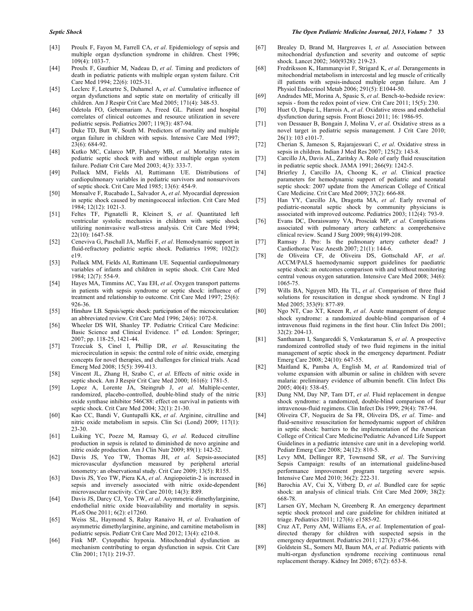- [43] Proulx F, Fayon M, Farrell CA, *et al*. Epidemiology of sepsis and multiple organ dysfunction syndrome in children. Chest 1996; 109(4): 1033-7.
- [44] Proulx F, Gauthier M, Nadeau D, *et al*. Timing and predictors of death in pediatric patients with multiple organ system failure. Crit Care Med 1994; 22(6): 1025-31.
- [45] Leclerc F, Leteurtre S, Duhamel A, *et al*. Cumulative influence of organ dysfunctions and septic state on mortality of critically ill children. Am J Respir Crit Care Med 2005; 171(4): 348-53.
- [46] Odetola FO, Gebremariam A, Freed GL. Patient and hospital correlates of clinical outcomes and resource utilization in severe pediatric sepsis. Pediatrics 2007; 119(3): 487-94.
- [47] Duke TD, Butt W, South M. Predictors of mortality and multiple organ failure in children with sepsis. Intensive Care Med 1997; 23(6): 684-92.
- [48] Kutko MC, Calarco MP, Flaherty MB, *et al*. Mortality rates in pediatric septic shock with and without multiple organ system failure. Pediatr Crit Care Med 2003; 4(3): 333-7.
- [49] Pollack MM, Fields AI, Ruttimann UE. Distributions of cardiopulmonary variables in pediatric survivors and nonsurvivors of septic shock. Crit Care Med 1985; 13(6): 454-9.
- [50] Monsalve F, Rucabado L, Salvador A, *et al*. Myocardial depression in septic shock caused by meningococcal infection. Crit Care Med 1984; 12(12): 1021-3.
- [51] Feltes TF, Pignatelli R, Kleinert S, *et al*. Quantitated left ventricular systolic mechanics in children with septic shock utilizing noninvasive wall-stress analysis. Crit Care Med 1994; 22(10): 1647-58.
- [52] Ceneviva G, Paschall JA, Maffei F, *et al*. Hemodynamic support in fluid-refractory pediatric septic shock. Pediatrics 1998; 102(2): e19.
- [53] Pollack MM, Fields AI, Ruttimann UE. Sequential cardiopulmonary variables of infants and children in septic shock. Crit Care Med 1984; 12(7): 554-9.
- [54] Hayes MA, Timmins AC, Yau EH, *et al*. Oxygen transport patterns in patients with sepsis syndrome or septic shock: influence of treatment and relationship to outcome. Crit Care Med 1997; 25(6): 926-36.
- [55] Hinshaw LB. Sepsis/septic shock: participation of the microcirculation: an abbreviated review. Crit Care Med 1996; 24(6): 1072-8.
- [56] Wheeler DS WH, Shanley TP. Pediatric Critical Care Medicine: Basic Science and Clinical Evidence. 1<sup>st</sup> ed. London: Springer; 2007; pp. 118-25, 1421-44.
- [57] Trzeciak S, Cinel I, Phillip DR, *et al*. Resuscitating the microcirculation in sepsis: the central role of nitric oxide, emerging concepts for novel therapies, and challenges for clinical trials. Acad Emerg Med 2008; 15(5): 399-413.
- [58] Vincent JL, Zhang H, Szabo C, *et al*. Effects of nitric oxide in septic shock. Am J Respir Crit Care Med 2000; 161(6): 1781-5.
- [59] Lopez A, Lorente JA, Steingrub J, *et al*. Multiple-center, randomized, placebo-controlled, double-blind study of the nitric oxide synthase inhibitor 546C88: effect on survival in patients with septic shock. Crit Care Med 2004; 32(1): 21-30.
- [60] Kao CC, Bandi V, Guntupalli KK, *et al*. Arginine, citrulline and nitric oxide metabolism in sepsis. Clin Sci (Lond) 2009; 117(1): 23-30.
- [61] Luiking YC, Poeze M, Ramsay G, *et al*. Reduced citrulline production in sepsis is related to diminished de novo arginine and nitric oxide production. Am J Clin Nutr 2009; 89(1): 142-52.
- [62] Davis JS, Yeo TW, Thomas JH, *et al*. Sepsis-associated microvascular dysfunction measured by peripheral arterial tonometry: an observational study. Crit Care 2009; 13(5): R155.
- [63] Davis JS, Yeo TW, Piera KA, *et al*. Angiopoietin-2 is increased in sepsis and inversely associated with nitric oxide-dependent microvascular reactivity. Crit Care 2010; 14(3): R89.
- [64] Davis JS, Darcy CJ, Yeo TW, *et al*. Asymmetric dimethylarginine, endothelial nitric oxide bioavailability and mortality in sepsis. PLoS One 2011; 6(2): e17260.
- [65] Weiss SL, Haymond S, Ralay Ranaivo H, *et al*. Evaluation of asymmetric dimethylarginine, arginine, and carnitine metabolism in pediatric sepsis. Pediatr Crit Care Med 2012; 13(4): e210-8.
- [66] Fink MP. Cytopathic hypoxia. Mitochondrial dysfunction as mechanism contributing to organ dysfunction in sepsis. Crit Care Clin 2001; 17(1): 219-37.
- [67] Brealey D, Brand M, Hargreaves I, *et al*. Association between mitochondrial dysfunction and severity and outcome of septic shock. Lancet 2002; 360(9328): 219-23.
- [68] Fredriksson K, Hammarqvist F, Strigard K, *et al*. Derangements in mitochondrial metabolism in intercostal and leg muscle of critically ill patients with sepsis-induced multiple organ failure. Am J Physiol Endocrinol Metab 2006; 291(5): E1044-50.
- [69] Andrades ME, Morina A, Spasic S, *et al*. Bench-to-bedside review: sepsis - from the redox point of view. Crit Care 2011; 15(5): 230.
- [70] Huet O, Dupic L, Harrois A, *et al*. Oxidative stress and endothelial dysfunction during sepsis. Front Biosci 2011; 16: 1986-95.
- [71] von Dessauer B, Bongain J, Molina V, *et al*. Oxidative stress as a novel target in pediatric sepsis management. J Crit Care 2010; 26(1): 103 e101-7.
- [72] Cherian S, Jameson S, Rajarajeswari C, *et al*. Oxidative stress in sepsis in children. Indian J Med Res 2007; 125(2): 143-8.
- [73] Carcillo JA, Davis AL, Zaritsky A. Role of early fluid resuscitation in pediatric septic shock. JAMA 1991; 266(9): 1242-5.
- [74] Brierley J, Carcillo JA, Choong K, *et al*. Clinical practice parameters for hemodynamic support of pediatric and neonatal septic shock: 2007 update from the American College of Critical Care Medicine. Crit Care Med 2009; 37(2): 666-88.
- [75] Han YY, Carcillo JA, Dragotta MA, *et al*. Early reversal of pediatric-neonatal septic shock by community physicians is associated with improved outcome. Pediatrics 2003; 112(4): 793-9.
- [76] Evans DC, Doraiswamy VA, Prosciak MP, *et al*. Complications associated with pulmonary artery catheters: a comprehensive clinical review. Scand J Surg 2009; 98(4)199-208.
- [77] Ramsay J. Pro: Is the pulmonary artery catheter dead? J Cardiothorac Vasc Anesth 2007; 21(1): 144-6.
- [78] de Oliveira CF, de Oliveira DS, Gottschald AF, *et al*. ACCM/PALS haemodynamic support guidelines for paediatric septic shock: an outcomes comparison with and without monitoring central venous oxygen saturation. Intensive Care Med 2008; 34(6): 1065-75.
- [79] Wills BA, Nguyen MD, Ha TL, *et al*. Comparison of three fluid solutions for resuscitation in dengue shock syndrome. N Engl J Med 2005; 353(9): 877-89.
- [80] Ngo NT, Cao XT, Kneen R, *et al*. Acute management of dengue shock syndrome: a randomized double-blind comparison of 4 intravenous fluid regimens in the first hour. Clin Infect Dis 2001; 32(2): 204-13.
- [81] Santhanam I, Sangareddi S, Venkataraman S, *et al*. A prospective randomized controlled study of two fluid regimens in the initial management of septic shock in the emergency department. Pediatr Emerg Care 2008; 24(10): 647-55.
- [82] Maitland K, Pamba A, English M, *et al.* Randomized trial of volume expansion with albumin or saline in children with severe malaria: preliminary evidence of albumin benefit. Clin Infect Dis 2005; 40(4): 538-45.
- [83] Dung NM, Day NP, Tam DT, *et al*. Fluid replacement in dengue shock syndrome: a randomized, double-blind comparison of four intravenous-fluid regimens. Clin Infect Dis 1999; 29(4): 787-94.
- [84] Oliveira CF, Nogueira de Sa FR, Oliveira DS, *et al*. Time- and fluid-sensitive resuscitation for hemodynamic support of children in septic shock: barriers to the implementation of the American College of Critical Care Medicine/Pediatric Advanced Life Support Guidelines in a pediatric intensive care unit in a developing world. Pediatr Emerg Care 2008; 24(12): 810-5.
- [85] Levy MM, Dellinger RP, Townsend SR, *et al*. The Surviving Sepsis Campaign: results of an international guideline-based performance improvement program targeting severe sepsis. Intensive Care Med 2010; 36(2): 222-31.
- [86] Barochia AV, Cui X, Vitberg D, *et al*. Bundled care for septic shock: an analysis of clinical trials. Crit Care Med 2009; 38(2): 668-78.
- [87] Larsen GY, Mecham N, Greenberg R. An emergency department septic shock protocol and care guideline for children initiated at triage. Pediatrics 2011; 127(6): e1585-92.
- [88] Cruz AT, Perry AM, Williams EA, *et al*. Implementation of goaldirected therapy for children with suspected sepsis in the emergency department. Pediatrics 2011; 127(3): e758-66.
- [89] Goldstein SL, Somers MJ, Baum MA, *et al*. Pediatric patients with multi-organ dysfunction syndrome receiving continuous renal replacement therapy. Kidney Int 2005; 67(2): 653-8.